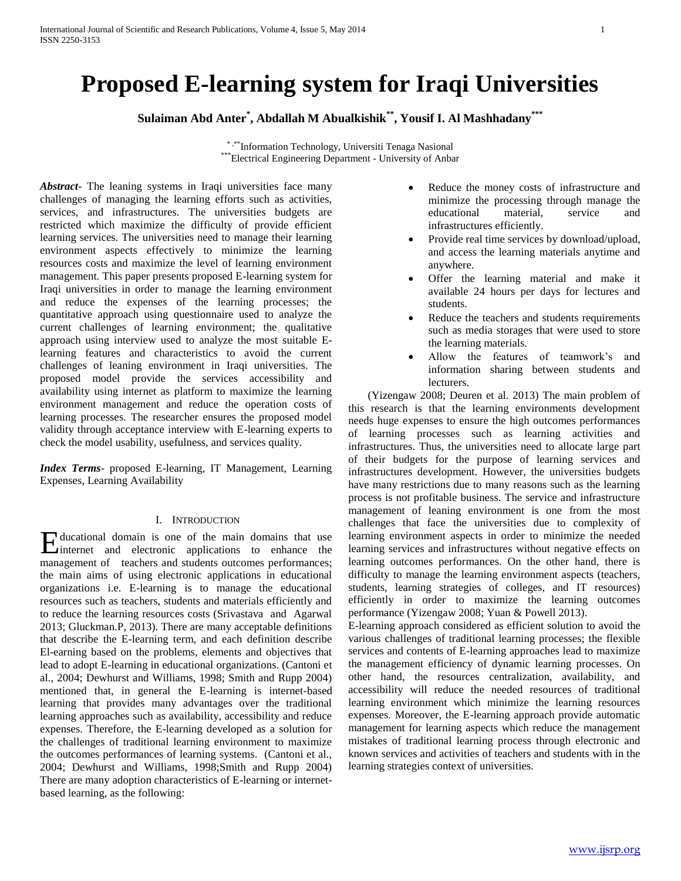# **Proposed E-learning system for Iraqi Universities**

**Sulaiman Abd Anter\* , Abdallah M Abualkishik\*\*, Yousif I. Al Mashhadany\*\*\***

\* ,\*\*\*Information Technology, Universiti Tenaga Nasional \*\*\*Electrical Engineering Department - University of Anbar

*Abstract***-** The leaning systems in Iraqi universities face many challenges of managing the learning efforts such as activities, services, and infrastructures. The universities budgets are restricted which maximize the difficulty of provide efficient learning services. The universities need to manage their learning environment aspects effectively to minimize the learning resources costs and maximize the level of learning environment management. This paper presents proposed E-learning system for Iraqi universities in order to manage the learning environment and reduce the expenses of the learning processes; the quantitative approach using questionnaire used to analyze the current challenges of learning environment; the qualitative approach using interview used to analyze the most suitable Elearning features and characteristics to avoid the current challenges of leaning environment in Iraqi universities. The proposed model provide the services accessibility and availability using internet as platform to maximize the learning environment management and reduce the operation costs of learning processes. The researcher ensures the proposed model validity through acceptance interview with E-learning experts to check the model usability, usefulness, and services quality.

*Index Terms*- proposed E-learning, IT Management, Learning Expenses, Learning Availability

# I. INTRODUCTION

ducational domain is one of the main domains that use Holucational domain is one of the main domains that use<br>internet and electronic applications to enhance the management of teachers and students outcomes performances; the main aims of using electronic applications in educational organizations i.e. E-learning is to manage the educational resources such as teachers, students and materials efficiently and to reduce the learning resources costs (Srivastava and Agarwal 2013; Gluckman.P, 2013). There are many acceptable definitions that describe the E-learning term, and each definition describe El-earning based on the problems, elements and objectives that lead to adopt E-learning in educational organizations. (Cantoni et al., 2004; Dewhurst and Williams, 1998; Smith and Rupp 2004) mentioned that, in general the E-learning is internet-based learning that provides many advantages over the traditional learning approaches such as availability, accessibility and reduce expenses. Therefore, the E-learning developed as a solution for the challenges of traditional learning environment to maximize the outcomes performances of learning systems. (Cantoni et al., 2004; Dewhurst and Williams, 1998;Smith and Rupp 2004) There are many adoption characteristics of E-learning or internetbased learning, as the following:

- Reduce the money costs of infrastructure and minimize the processing through manage the educational material, service and infrastructures efficiently.
- Provide real time services by download/upload, and access the learning materials anytime and anywhere.
- Offer the learning material and make it available 24 hours per days for lectures and students.
- Reduce the teachers and students requirements such as media storages that were used to store the learning materials.
- Allow the features of teamwork's and information sharing between students and lecturers.

 (Yizengaw 2008; Deuren et al. 2013) The main problem of this research is that the learning environments development needs huge expenses to ensure the high outcomes performances of learning processes such as learning activities and infrastructures. Thus, the universities need to allocate large part of their budgets for the purpose of learning services and infrastructures development. However, the universities budgets have many restrictions due to many reasons such as the learning process is not profitable business. The service and infrastructure management of leaning environment is one from the most challenges that face the universities due to complexity of learning environment aspects in order to minimize the needed learning services and infrastructures without negative effects on learning outcomes performances. On the other hand, there is difficulty to manage the learning environment aspects (teachers, students, learning strategies of colleges, and IT resources) efficiently in order to maximize the learning outcomes performance (Yizengaw 2008; Yuan & Powell 2013).

E-learning approach considered as efficient solution to avoid the various challenges of traditional learning processes; the flexible services and contents of E-learning approaches lead to maximize the management efficiency of dynamic learning processes. On other hand, the resources centralization, availability, and accessibility will reduce the needed resources of traditional learning environment which minimize the learning resources expenses. Moreover, the E-learning approach provide automatic management for learning aspects which reduce the management mistakes of traditional learning process through electronic and known services and activities of teachers and students with in the learning strategies context of universities.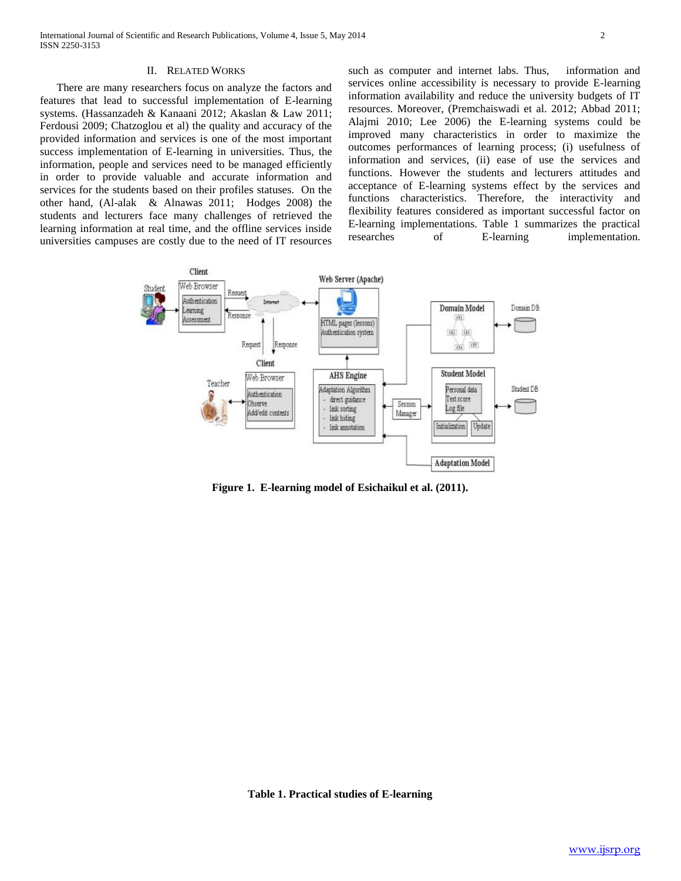### II. RELATED WORKS

 There are many researchers focus on analyze the factors and features that lead to successful implementation of E-learning systems. (Hassanzadeh & Kanaani 2012; Akaslan & Law 2011; Ferdousi 2009; Chatzoglou et al) the quality and accuracy of the provided information and services is one of the most important success implementation of E-learning in universities. Thus, the information, people and services need to be managed efficiently in order to provide valuable and accurate information and services for the students based on their profiles statuses. On the other hand, (Al-alak & Alnawas 2011; Hodges 2008) the students and lecturers face many challenges of retrieved the learning information at real time, and the offline services inside universities campuses are costly due to the need of IT resources

such as computer and internet labs. Thus, information and services online accessibility is necessary to provide E-learning information availability and reduce the university budgets of IT resources. Moreover, (Premchaiswadi et al. 2012; Abbad 2011; Alajmi 2010; Lee 2006) the E-learning systems could be improved many characteristics in order to maximize the outcomes performances of learning process; (i) usefulness of information and services, (ii) ease of use the services and functions. However the students and lecturers attitudes and acceptance of E-learning systems effect by the services and functions characteristics. Therefore, the interactivity and flexibility features considered as important successful factor on E-learning implementations. Table 1 summarizes the practical researches of E-learning implementation.



**Figure 1. E-learning model of Esichaikul et al. (2011).**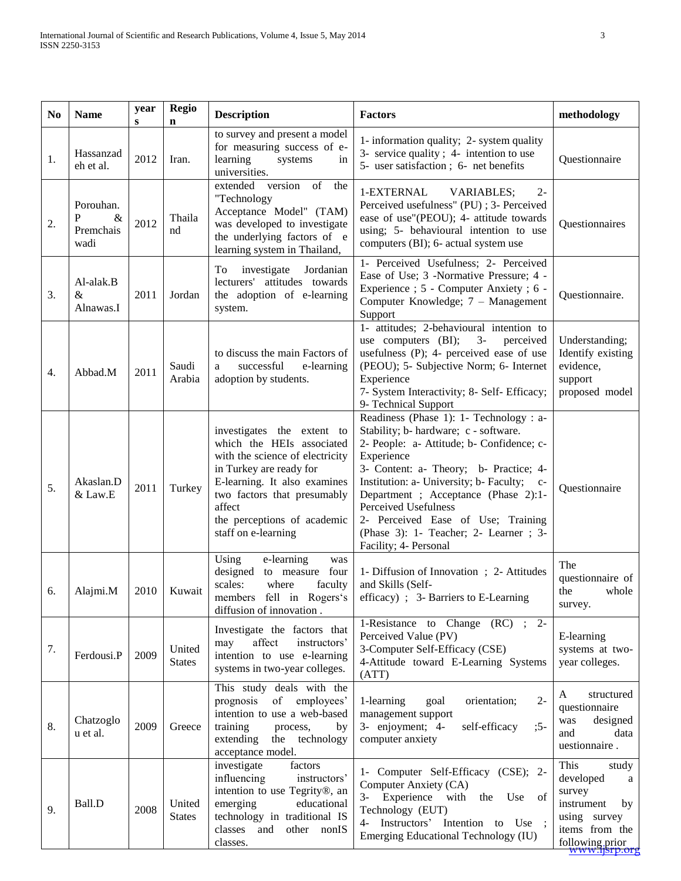| N <sub>0</sub>   | <b>Name</b>                                 | year<br>s | <b>Regio</b><br>$\mathbf n$ | <b>Description</b>                                                                                                                                                                                                                                   | <b>Factors</b>                                                                                                                                                                                                                                                                                                                                                                                              | methodology                                                                                                                                    |
|------------------|---------------------------------------------|-----------|-----------------------------|------------------------------------------------------------------------------------------------------------------------------------------------------------------------------------------------------------------------------------------------------|-------------------------------------------------------------------------------------------------------------------------------------------------------------------------------------------------------------------------------------------------------------------------------------------------------------------------------------------------------------------------------------------------------------|------------------------------------------------------------------------------------------------------------------------------------------------|
| 1.               | Hassanzad<br>eh et al.                      | 2012      | Iran.                       | to survey and present a model<br>for measuring success of e-<br>learning<br>systems<br>in<br>universities.                                                                                                                                           | 1- information quality; 2- system quality<br>3- service quality; 4- intention to use<br>5- user satisfaction; 6- net benefits                                                                                                                                                                                                                                                                               | Questionnaire                                                                                                                                  |
| 2.               | Porouhan.<br>P<br>$\&$<br>Premchais<br>wadi | 2012      | Thaila<br>nd                | version<br>of<br>extended<br>the<br>"Technology<br>Acceptance Model" (TAM)<br>was developed to investigate<br>the underlying factors of e<br>learning system in Thailand,                                                                            | 1-EXTERNAL<br><b>VARIABLES:</b><br>$2 -$<br>Perceived usefulness" (PU) ; 3- Perceived<br>ease of use"(PEOU); 4- attitude towards<br>using; 5- behavioural intention to use<br>computers (BI); 6- actual system use                                                                                                                                                                                          | Questionnaires                                                                                                                                 |
| 3.               | Al-alak.B<br>$\&$<br>Alnawas.I              | 2011      | Jordan                      | investigate<br>To<br>Jordanian<br>lecturers' attitudes towards<br>the adoption of e-learning<br>system.                                                                                                                                              | 1- Perceived Usefulness; 2- Perceived<br>Ease of Use; 3 -Normative Pressure; 4 -<br>Experience ; 5 - Computer Anxiety ; 6 -<br>Computer Knowledge; 7 - Management<br>Support                                                                                                                                                                                                                                | Questionnaire.                                                                                                                                 |
| $\overline{4}$ . | Abbad.M                                     | 2011      | Saudi<br>Arabia             | to discuss the main Factors of<br>successful<br>e-learning<br>a<br>adoption by students.                                                                                                                                                             | 1- attitudes; 2-behavioural intention to<br>use computers (BI);<br>$3-$<br>perceived<br>usefulness (P); 4- perceived ease of use<br>(PEOU); 5- Subjective Norm; 6- Internet<br>Experience<br>7- System Interactivity; 8- Self- Efficacy;<br>9- Technical Support                                                                                                                                            | Understanding;<br>Identify existing<br>evidence,<br>support<br>proposed model                                                                  |
| 5.               | Akaslan.D<br>& Law.E                        | 2011      | Turkey                      | investigates the extent to<br>which the HEIs associated<br>with the science of electricity<br>in Turkey are ready for<br>E-learning. It also examines<br>two factors that presumably<br>affect<br>the perceptions of academic<br>staff on e-learning | Readiness (Phase 1): 1- Technology : a-<br>Stability; b- hardware; c - software.<br>2- People: a- Attitude; b- Confidence; c-<br>Experience<br>3- Content: a- Theory; b- Practice; 4-<br>Institution: a- University; b- Faculty; c-<br>Department ; Acceptance (Phase 2):1-<br>Perceived Usefulness<br>2- Perceived Ease of Use; Training<br>(Phase 3): 1- Teacher; 2- Learner; 3-<br>Facility; 4- Personal | Questionnaire                                                                                                                                  |
| 6.               | Alajmi.M                                    | 2010      | Kuwait                      | Using<br>e-learning<br>was<br>designed to measure four<br>scales:<br>where<br>faculty<br>members fell in Rogers's<br>diffusion of innovation.                                                                                                        | 1- Diffusion of Innovation; 2- Attitudes<br>and Skills (Self-<br>efficacy) ; 3- Barriers to E-Learning                                                                                                                                                                                                                                                                                                      | The<br>questionnaire of<br>whole<br>the<br>survey.                                                                                             |
| 7.               | Ferdousi.P                                  | 2009      | United<br><b>States</b>     | Investigate the factors that<br>affect<br>may<br>instructors'<br>intention to use e-learning<br>systems in two-year colleges.                                                                                                                        | 1-Resistance to Change (RC) ; 2-<br>Perceived Value (PV)<br>3-Computer Self-Efficacy (CSE)<br>4-Attitude toward E-Learning Systems<br>(ATT)                                                                                                                                                                                                                                                                 | E-learning<br>systems at two-<br>year colleges.                                                                                                |
| 8.               | Chatzoglo<br>u et al.                       | 2009      | Greece                      | This study deals with the<br>prognosis<br>of employees'<br>intention to use a web-based<br>training<br>process,<br>by<br>extending the technology<br>acceptance model.                                                                               | $2 -$<br>1-learning<br>goal<br>orientation;<br>management support<br>3- enjoyment; 4-<br>$;5-$<br>self-efficacy<br>computer anxiety                                                                                                                                                                                                                                                                         | A<br>structured<br>questionnaire<br>designed<br>was<br>data<br>and<br>uestionnaire.                                                            |
| 9.               | Ball.D                                      | 2008      | United<br><b>States</b>     | investigate<br>factors<br>influencing<br>instructors'<br>intention to use Tegrity®, an<br>emerging<br>educational<br>technology in traditional IS<br>classes<br>other nonIS<br>and<br>classes.                                                       | 1- Computer Self-Efficacy (CSE); 2-<br>Computer Anxiety (CA)<br>3- Experience with<br>the Use of<br>Technology (EUT)<br>4- Instructors' Intention to Use ;<br>Emerging Educational Technology (IU)                                                                                                                                                                                                          | This<br>study<br>developed<br>a<br>survey<br>instrument<br>by<br>using survey<br>items from the<br>following prior<br><del>www.ijsrp.org</del> |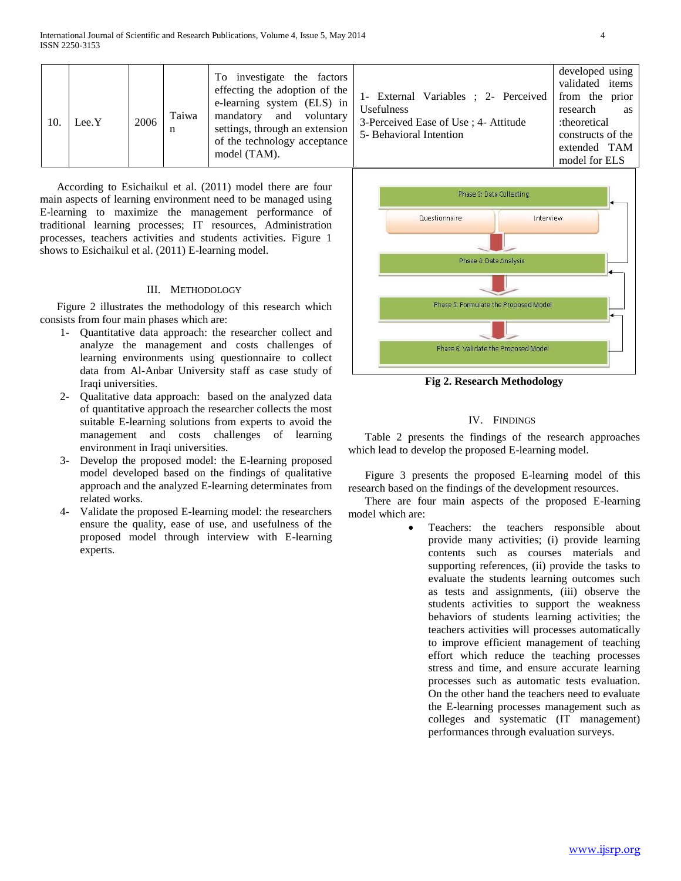| 10. | Lee.Y | 2006 | Taiwa<br>n | To investigate the factors<br>effecting the adoption of the<br>e-learning system (ELS) in<br>mandatory and voluntary<br>settings, through an extension<br>of the technology acceptance<br>model (TAM). | 1- External Variables ; 2- Perceived<br><b>Usefulness</b><br>3-Perceived Ease of Use; 4- Attitude<br>5- Behavioral Intention | developed using<br>validated items<br>from the prior<br>research<br>as<br>:theoretical<br>constructs of the<br>extended TAM<br>model for ELS |
|-----|-------|------|------------|--------------------------------------------------------------------------------------------------------------------------------------------------------------------------------------------------------|------------------------------------------------------------------------------------------------------------------------------|----------------------------------------------------------------------------------------------------------------------------------------------|
|-----|-------|------|------------|--------------------------------------------------------------------------------------------------------------------------------------------------------------------------------------------------------|------------------------------------------------------------------------------------------------------------------------------|----------------------------------------------------------------------------------------------------------------------------------------------|

 According to Esichaikul et al. (2011) model there are four main aspects of learning environment need to be managed using E-learning to maximize the management performance of traditional learning processes; IT resources, Administration processes, teachers activities and students activities. Figure 1 shows to Esichaikul et al. (2011) E-learning model.

## III. METHODOLOGY

 Figure 2 illustrates the methodology of this research which consists from four main phases which are:

- 1- Quantitative data approach: the researcher collect and analyze the management and costs challenges of learning environments using questionnaire to collect data from Al-Anbar University staff as case study of Iraqi universities.
- 2- Qualitative data approach: based on the analyzed data of quantitative approach the researcher collects the most suitable E-learning solutions from experts to avoid the management and costs challenges of learning environment in Iraqi universities.
- 3- Develop the proposed model: the E-learning proposed model developed based on the findings of qualitative approach and the analyzed E-learning determinates from related works.
- 4- Validate the proposed E-learning model: the researchers ensure the quality, ease of use, and usefulness of the proposed model through interview with E-learning experts.



**Fig 2. Research Methodology**

## IV. FINDINGS

 Table 2 presents the findings of the research approaches which lead to develop the proposed E-learning model.

 Figure 3 presents the proposed E-learning model of this research based on the findings of the development resources.

 There are four main aspects of the proposed E-learning model which are:

> Teachers: the teachers responsible about provide many activities; (i) provide learning contents such as courses materials and supporting references, (ii) provide the tasks to evaluate the students learning outcomes such as tests and assignments, (iii) observe the students activities to support the weakness behaviors of students learning activities; the teachers activities will processes automatically to improve efficient management of teaching effort which reduce the teaching processes stress and time, and ensure accurate learning processes such as automatic tests evaluation. On the other hand the teachers need to evaluate the E-learning processes management such as colleges and systematic (IT management) performances through evaluation surveys.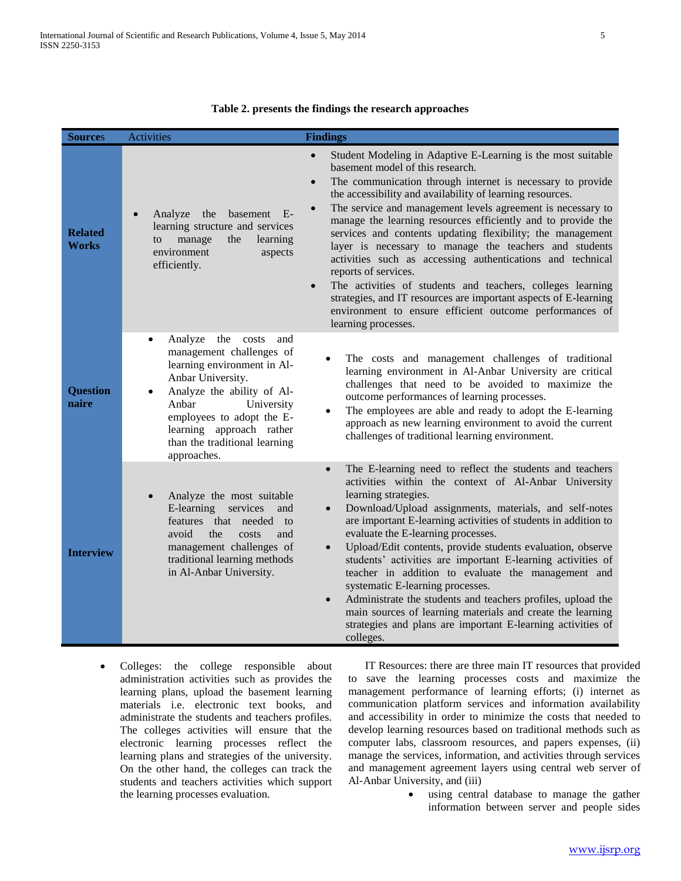| <b>Sources</b>                 | <b>Activities</b>                                                                                                                                                                                                                                                         | <b>Findings</b>                                                                                                                                                                                                                                                                                                                                                                                                                                                                                                                                                                                                                                                                                                                                                                                                                                  |
|--------------------------------|---------------------------------------------------------------------------------------------------------------------------------------------------------------------------------------------------------------------------------------------------------------------------|--------------------------------------------------------------------------------------------------------------------------------------------------------------------------------------------------------------------------------------------------------------------------------------------------------------------------------------------------------------------------------------------------------------------------------------------------------------------------------------------------------------------------------------------------------------------------------------------------------------------------------------------------------------------------------------------------------------------------------------------------------------------------------------------------------------------------------------------------|
| <b>Related</b><br><b>Works</b> | Analyze<br>the<br>basement E-<br>learning structure and services<br>learning<br>manage<br>the<br>to<br>environment<br>aspects<br>efficiently.                                                                                                                             | Student Modeling in Adaptive E-Learning is the most suitable<br>$\bullet$<br>basement model of this research.<br>The communication through internet is necessary to provide<br>$\bullet$<br>the accessibility and availability of learning resources.<br>The service and management levels agreement is necessary to<br>$\bullet$<br>manage the learning resources efficiently and to provide the<br>services and contents updating flexibility; the management<br>layer is necessary to manage the teachers and students<br>activities such as accessing authentications and technical<br>reports of services.<br>The activities of students and teachers, colleges learning<br>$\bullet$<br>strategies, and IT resources are important aspects of E-learning<br>environment to ensure efficient outcome performances of<br>learning processes. |
| <b>Question</b><br>naire       | Analyze<br>the costs<br>and<br>management challenges of<br>learning environment in Al-<br>Anbar University.<br>Analyze the ability of Al-<br>Anbar<br>University<br>employees to adopt the E-<br>learning approach rather<br>than the traditional learning<br>approaches. | The costs and management challenges of traditional<br>learning environment in Al-Anbar University are critical<br>challenges that need to be avoided to maximize the<br>outcome performances of learning processes.<br>The employees are able and ready to adopt the E-learning<br>approach as new learning environment to avoid the current<br>challenges of traditional learning environment.                                                                                                                                                                                                                                                                                                                                                                                                                                                  |
| <b>Interview</b>               | Analyze the most suitable<br>E-learning services<br>and<br>features that needed to<br>avoid<br>the<br>costs<br>and<br>management challenges of<br>traditional learning methods<br>in Al-Anbar University.                                                                 | The E-learning need to reflect the students and teachers<br>$\bullet$<br>activities within the context of Al-Anbar University<br>learning strategies.<br>Download/Upload assignments, materials, and self-notes<br>$\bullet$<br>are important E-learning activities of students in addition to<br>evaluate the E-learning processes.<br>Upload/Edit contents, provide students evaluation, observe<br>$\bullet$<br>students' activities are important E-learning activities of<br>teacher in addition to evaluate the management and<br>systematic E-learning processes.<br>Administrate the students and teachers profiles, upload the<br>$\bullet$<br>main sources of learning materials and create the learning<br>strategies and plans are important E-learning activities of<br>colleges.                                                   |

## **Table 2. presents the findings the research approaches**

 Colleges: the college responsible about administration activities such as provides the learning plans, upload the basement learning materials i.e. electronic text books, and administrate the students and teachers profiles. The colleges activities will ensure that the electronic learning processes reflect the learning plans and strategies of the university. On the other hand, the colleges can track the students and teachers activities which support the learning processes evaluation.

 IT Resources: there are three main IT resources that provided to save the learning processes costs and maximize the management performance of learning efforts; (i) internet as communication platform services and information availability and accessibility in order to minimize the costs that needed to develop learning resources based on traditional methods such as computer labs, classroom resources, and papers expenses, (ii) manage the services, information, and activities through services and management agreement layers using central web server of Al-Anbar University, and (iii)

> using central database to manage the gather information between server and people sides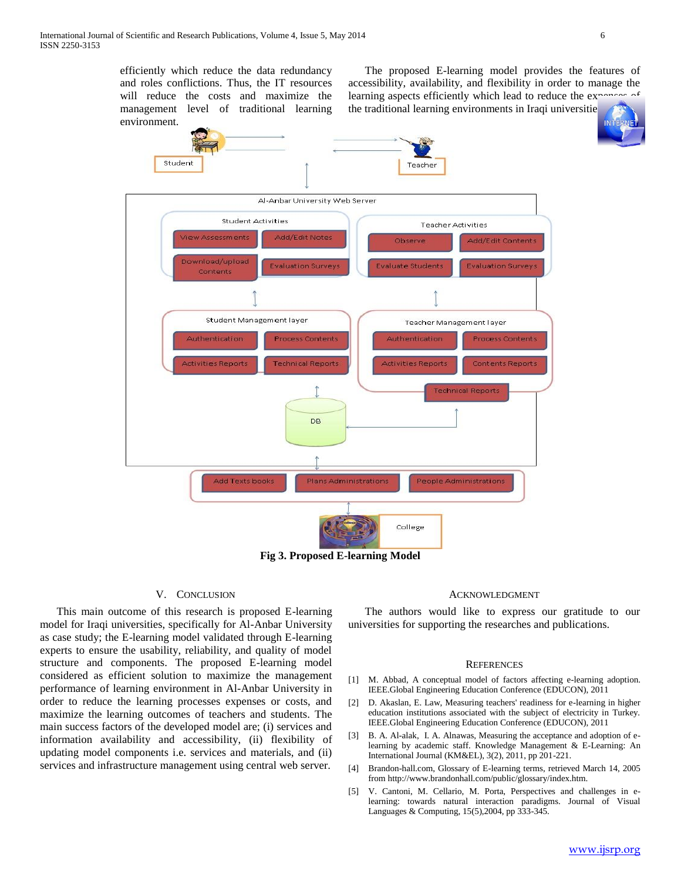efficiently which reduce the data redundancy and roles conflictions. Thus, the IT resources will reduce the costs and maximize the management level of traditional learning environment.

 The proposed E-learning model provides the features of accessibility, availability, and flexibility in order to manage the learning aspects efficiently which lead to reduce the  $ex\gamma$ 

the traditional learning environments in Iraqi universitie





## V. CONCLUSION

 This main outcome of this research is proposed E-learning model for Iraqi universities, specifically for Al-Anbar University as case study; the E-learning model validated through E-learning experts to ensure the usability, reliability, and quality of model structure and components. The proposed E-learning model considered as efficient solution to maximize the management performance of learning environment in Al-Anbar University in order to reduce the learning processes expenses or costs, and maximize the learning outcomes of teachers and students. The main success factors of the developed model are; (i) services and information availability and accessibility, (ii) flexibility of updating model components i.e. services and materials, and (ii) services and infrastructure management using central web server.

#### ACKNOWLEDGMENT

 The authors would like to express our gratitude to our universities for supporting the researches and publications.

#### **REFERENCES**

- [1] M. Abbad, A conceptual model of factors affecting e-learning adoption. IEEE.Global Engineering Education Conference (EDUCON), 2011
- [2] D. Akaslan, E. Law, Measuring teachers' readiness for e-learning in higher education institutions associated with the subject of electricity in Turkey. IEEE.Global Engineering Education Conference (EDUCON), 2011
- [3] B. A. Al-alak, I. A. Alnawas, Measuring the acceptance and adoption of elearning by academic staff. Knowledge Management & E-Learning: An International Journal (KM&EL), 3(2), 2011, pp 201-221.
- [4] Brandon-hall.com, Glossary of E-learning terms, retrieved March 14, 2005 from http://www.brandonhall.com/public/glossary/index.htm.
- [5] V. Cantoni, M. Cellario, M. Porta, Perspectives and challenges in elearning: towards natural interaction paradigms. Journal of Visual Languages & Computing, 15(5),2004, pp 333-345.